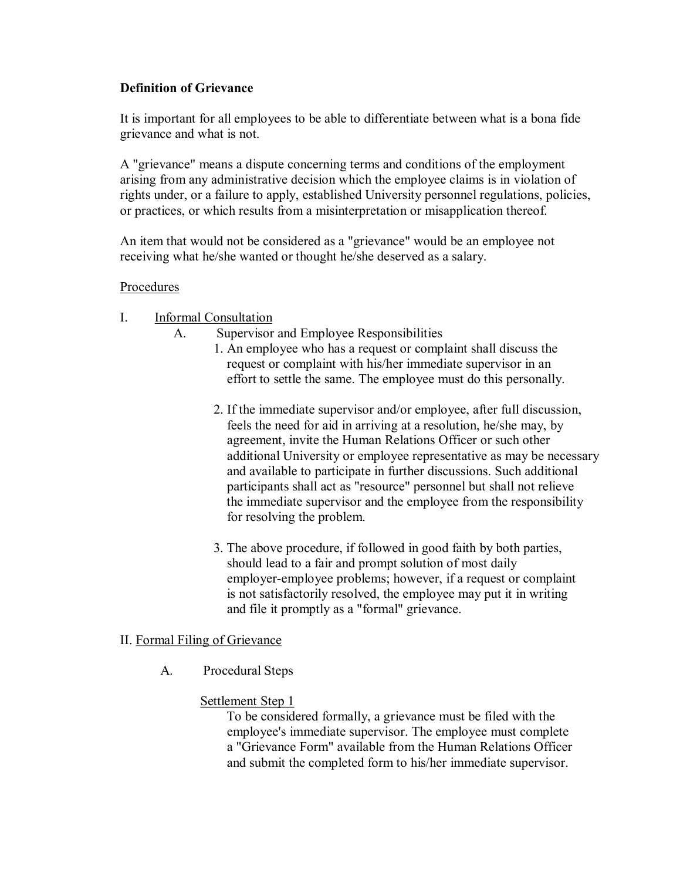# **Definition of Grievance**

It is important for all employees to be able to differentiate between what is a bona fide grievance and what is not.

A "grievance" means a dispute concerning terms and conditions of the employment arising from any administrative decision which the employee claims is in violation of rights under, or a failure to apply, established University personnel regulations, policies, or practices, or which results from a misinterpretation or misapplication thereof.

An item that would not be considered as a "grievance" would be an employee not receiving what he/she wanted or thought he/she deserved as a salary.

#### Procedures

# I. Informal Consultation

- A. Supervisor and Employee Responsibilities
	- 1. An employee who has a request or complaint shall discuss the request or complaint with his/her immediate supervisor in an effort to settle the same. The employee must do this personally.
	- 2. If the immediate supervisor and/or employee, after full discussion, feels the need for aid in arriving at a resolution, he/she may, by agreement, invite the Human Relations Officer or such other additional University or employee representative as may be necessary and available to participate in further discussions. Such additional participants shall act as "resource" personnel but shall not relieve the immediate supervisor and the employee from the responsibility for resolving the problem.
	- 3. The above procedure, if followed in good faith by both parties, should lead to a fair and prompt solution of most daily employer-employee problems; however, if a request or complaint is not satisfactorily resolved, the employee may put it in writing and file it promptly as a "formal" grievance.

# II. Formal Filing of Grievance

A. Procedural Steps

# Settlement Step 1

To be considered formally, a grievance must be filed with the employee's immediate supervisor. The employee must complete a "Grievance Form" available from the Human Relations Officer and submit the completed form to his/her immediate supervisor.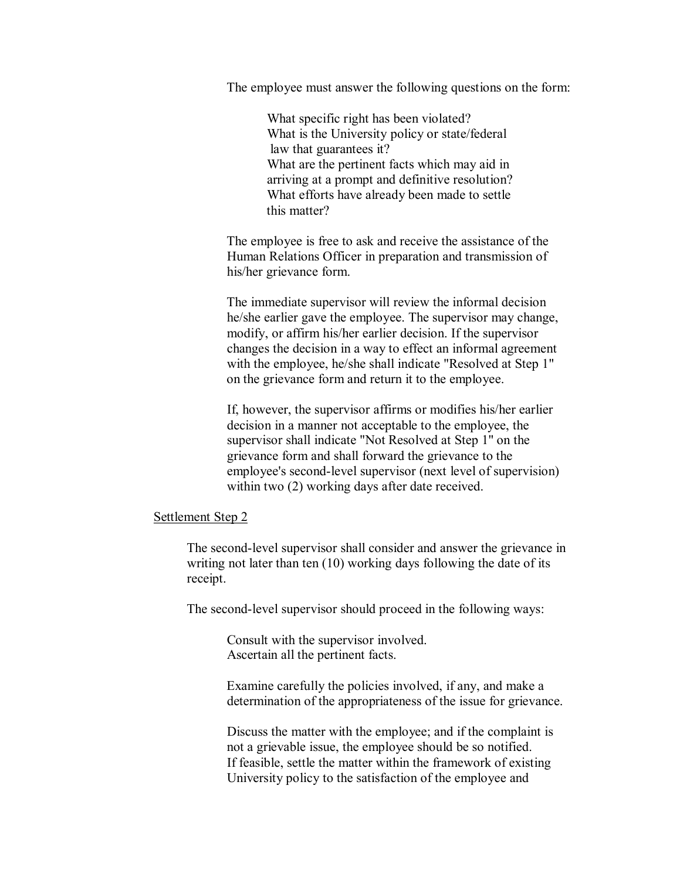The employee must answer the following questions on the form:

What specific right has been violated? What is the University policy or state/federal law that guarantees it? What are the pertinent facts which may aid in arriving at a prompt and definitive resolution? What efforts have already been made to settle this matter?

The employee is free to ask and receive the assistance of the Human Relations Officer in preparation and transmission of his/her grievance form.

The immediate supervisor will review the informal decision he/she earlier gave the employee. The supervisor may change, modify, or affirm his/her earlier decision. If the supervisor changes the decision in a way to effect an informal agreement with the employee, he/she shall indicate "Resolved at Step 1" on the grievance form and return it to the employee.

If, however, the supervisor affirms or modifies his/her earlier decision in a manner not acceptable to the employee, the supervisor shall indicate "Not Resolved at Step 1" on the grievance form and shall forward the grievance to the employee's second-level supervisor (next level of supervision) within two  $(2)$  working days after date received.

#### Settlement Step 2

The second-level supervisor shall consider and answer the grievance in writing not later than ten (10) working days following the date of its receipt.

The second-level supervisor should proceed in the following ways:

Consult with the supervisor involved. Ascertain all the pertinent facts.

Examine carefully the policies involved, if any, and make a determination of the appropriateness of the issue for grievance.

Discuss the matter with the employee; and if the complaint is not a grievable issue, the employee should be so notified. If feasible, settle the matter within the framework of existing University policy to the satisfaction of the employee and